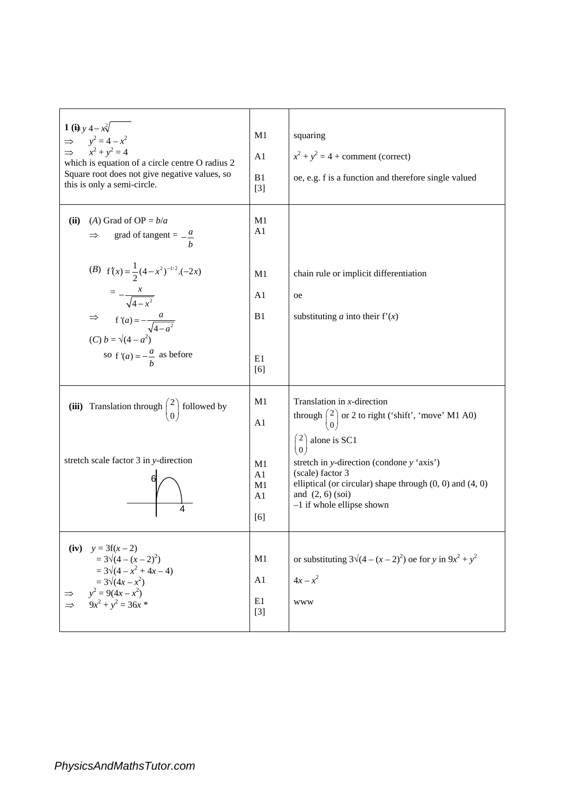| 1 (ii) $y + 4 - x\sqrt{ }$<br>$\Rightarrow y^2 = 4 - x^2$<br>$\Rightarrow x^2 + y^2 = 4$<br>which is equation of a circle centre O radius 2<br>Square root does not give negative values, so<br>this is only a semi-circle. | M1<br>A <sub>1</sub><br>B1<br>$[3]$          | squaring<br>$x^2 + y^2 = 4$ + comment (correct)<br>oe, e.g. f is a function and therefore single valued                                                                                                                                       |
|-----------------------------------------------------------------------------------------------------------------------------------------------------------------------------------------------------------------------------|----------------------------------------------|-----------------------------------------------------------------------------------------------------------------------------------------------------------------------------------------------------------------------------------------------|
| (ii)<br>(A) Grad of OP = $b/a$<br>grad of tangent = $-\frac{a}{b}$<br>$\Rightarrow$                                                                                                                                         | M1<br>A <sub>1</sub>                         |                                                                                                                                                                                                                                               |
| (B) $f'(x) = \frac{1}{2}(4-x^2)^{-1/2}(-2x)$<br>$= -\frac{x}{\sqrt{4-x^2}}$<br>$\Rightarrow$ f'(a) = $-\frac{a}{\sqrt{4-a^2}}$<br>(C) b = $\sqrt{(4-a^2)}$<br>so $f'(a) = -\frac{a}{b}$ as before                           | M1<br>A <sub>1</sub><br>B1<br>E1<br>[6]      | chain rule or implicit differentiation<br>oe<br>substituting <i>a</i> into their $f'(x)$                                                                                                                                                      |
| (iii) Translation through $\begin{pmatrix} 2 \\ 0 \end{pmatrix}$ followed by<br>stretch scale factor 3 in y-direction                                                                                                       | M1<br>A <sub>1</sub><br>M1<br>A <sub>1</sub> | Translation in $x$ -direction<br>through $\begin{pmatrix} 2 \\ 0 \end{pmatrix}$ or 2 to right ('shift', 'move' M1 A0)<br>$\begin{pmatrix} 2 \\ 0 \end{pmatrix}$ alone is SC1<br>stretch in y-direction (condone y 'axis')<br>(scale) factor 3 |
| 4                                                                                                                                                                                                                           | M1<br>A1<br>[6]                              | elliptical (or circular) shape through $(0, 0)$ and $(4, 0)$<br>and $(2, 6)$ (soi)<br>$-1$ if whole ellipse shown                                                                                                                             |
| (iv) $y = 3f(x-2)$<br>$= 3\sqrt{(4-(x-2)^2)}$<br>$= 3\sqrt{(4-x^2+4x-4)}$<br>$=3\sqrt{(4x-x^2)}$<br>$y^2 = 9(4x - x^2)$<br>$9x^2 + y^2 = 36x$                                                                               | M1<br>A1<br>E1<br>$[3]$                      | or substituting $3\sqrt{(4-(x-2)^2)}$ oe for y in $9x^2 + y^2$<br>$4x - x^2$<br><b>WWW</b>                                                                                                                                                    |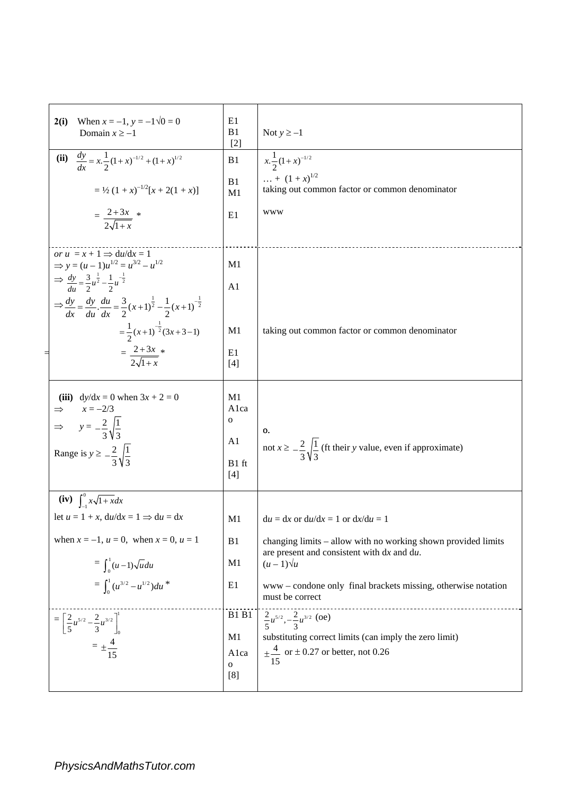| When $x = -1$ , $y = -1\sqrt{0} = 0$<br>2(i)<br>Domain $x \ge -1$                                                                                                                                                            | E1<br>B <sub>1</sub><br>$[2]$                     | Not $y \ge -1$                                                                                                                                                   |  |
|------------------------------------------------------------------------------------------------------------------------------------------------------------------------------------------------------------------------------|---------------------------------------------------|------------------------------------------------------------------------------------------------------------------------------------------------------------------|--|
| (ii) $\frac{dy}{dx} = x \cdot \frac{1}{2} (1+x)^{-1/2} + (1+x)^{1/2}$                                                                                                                                                        | B <sub>1</sub>                                    | $x.\frac{1}{2}(1+x)^{-1/2}$<br>$\ldots + (1+x)^{1/2}$                                                                                                            |  |
| $= \frac{1}{2} (1 + x)^{-1/2} [x + 2(1 + x)]$                                                                                                                                                                                | B1<br>M1                                          | taking out common factor or common denominator                                                                                                                   |  |
| $=\frac{2+3x}{2\sqrt{1+x}}$                                                                                                                                                                                                  | E1                                                | <b>WWW</b>                                                                                                                                                       |  |
| or $u = x + 1 \Rightarrow du/dx = 1$<br>$\Rightarrow$ y = $(u - 1)u^{1/2} = u^{3/2} - u^{1/2}$                                                                                                                               | M <sub>1</sub>                                    |                                                                                                                                                                  |  |
| $\Rightarrow \frac{dy}{du} = \frac{3}{2}u^{\frac{1}{2}} - \frac{1}{2}u^{-\frac{1}{2}}$<br>$\Rightarrow \frac{dy}{dx} = \frac{dy}{du} \cdot \frac{du}{dx} = \frac{3}{2}(x+1)^{\frac{1}{2}} - \frac{1}{2}(x+1)^{-\frac{1}{2}}$ | A <sub>1</sub>                                    |                                                                                                                                                                  |  |
| $=\frac{1}{2}(x+1)^{-\frac{1}{2}}(3x+3-1)$                                                                                                                                                                                   | M1                                                | taking out common factor or common denominator                                                                                                                   |  |
| $=\frac{2+3x}{2\sqrt{1+x}}$                                                                                                                                                                                                  | E1<br>$[4]$                                       |                                                                                                                                                                  |  |
| (iii) $dy/dx = 0$ when $3x + 2 = 0$<br>$x = -2/3$<br>$\Rightarrow$<br>$\Rightarrow y = -\frac{2}{3}\sqrt{\frac{1}{3}}$<br>Range is $y \ge -\frac{2}{3}\sqrt{\frac{1}{2}}$                                                    | M1<br>Alca<br>$\mathbf 0$<br>A1<br>B1 ft<br>$[4]$ | 0.<br>not $x \geq \frac{2}{3} \sqrt{\frac{1}{3}}$ (ft their y value, even if approximate)                                                                        |  |
| (iv) $\int_{-1}^{0} x\sqrt{1 + x} dx$                                                                                                                                                                                        |                                                   |                                                                                                                                                                  |  |
| let $u = 1 + x$ , $du/dx = 1 \implies du = dx$                                                                                                                                                                               | M <sub>1</sub>                                    | $du = dx$ or $du/dx = 1$ or $dx/du = 1$                                                                                                                          |  |
| when $x = -1$ , $u = 0$ , when $x = 0$ , $u = 1$                                                                                                                                                                             | B <sub>1</sub>                                    | changing limits - allow with no working shown provided limits<br>are present and consistent with dx and du.                                                      |  |
| $=\int_0^1 (u-1)\sqrt{u} du$                                                                                                                                                                                                 | M1                                                | $(u-1)\sqrt{u}$                                                                                                                                                  |  |
| $=\int_0^1 (u^{3/2}-u^{1/2})du^*$                                                                                                                                                                                            | E1                                                | www-condone only final brackets missing, otherwise notation<br>must be correct                                                                                   |  |
| $=\left[\frac{2}{5}u^{5/2}-\frac{2}{3}u^{3/2}\right]_0^{\frac{1}{2}}$<br>$= \pm \frac{4}{15}$                                                                                                                                | <b>B1 B1</b><br>M1<br>Alca<br>$\mathbf{o}$<br>[8] | $\frac{2}{5}u^{5/2}, -\frac{2}{3}u^{3/2}$ (oe)<br>substituting correct limits (can imply the zero limit)<br>$\pm \frac{4}{15}$ or $\pm 0.27$ or better, not 0.26 |  |